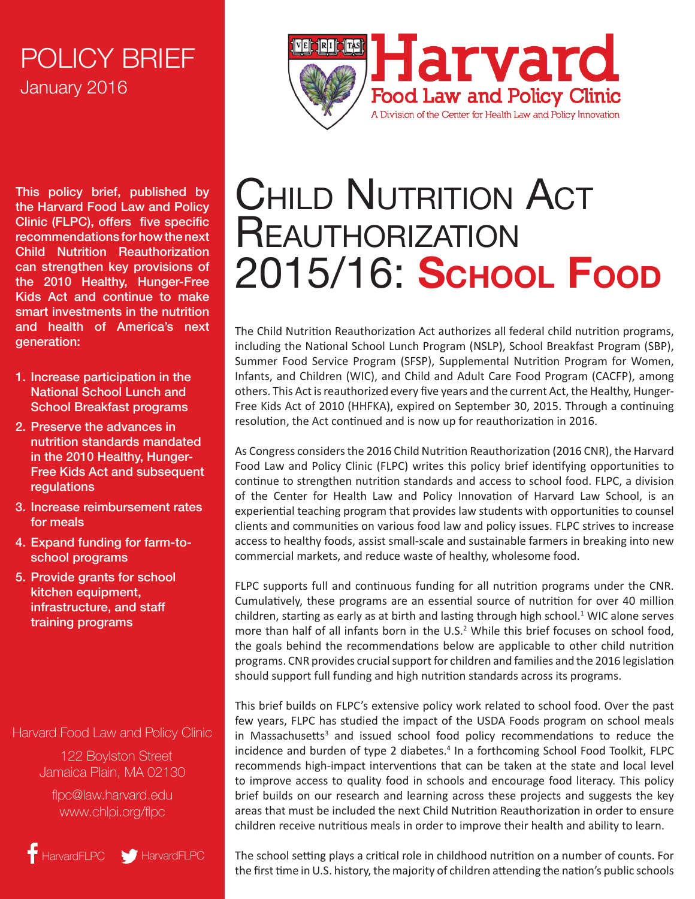## January 2016 POLICY BRIEF

This policy brief, published by the Harvard Food Law and Policy Clinic (FLPC), offers five specific recommendations for how the next Child Nutrition Reauthorization can strengthen key provisions of the 2010 Healthy, Hunger-Free Kids Act and continue to make smart investments in the nutrition and health of America's next generation:

- 1. Increase participation in the National School Lunch and School Breakfast programs
- 2. Preserve the advances in nutrition standards mandated in the 2010 Healthy, Hunger-Free Kids Act and subsequent regulations
- 3. Increase reimbursement rates for meals
- 4. Expand funding for farm-toschool programs
- 5. Provide grants for school kitchen equipment, infrastructure, and staff training programs

#### Harvard Food Law and Policy Clinic

 122 Boylston Street Jamaica Plain, MA 02130

flpc@law.harvard.edu www.chlpi.org/flpc

HarvardFLPC MarvardFLPC



# **CHILD NUTRITION ACT REAUTHORIZATION** 2015/16: **School Food**

The Child Nutrition Reauthorization Act authorizes all federal child nutrition programs, including the National School Lunch Program (NSLP), School Breakfast Program (SBP), Summer Food Service Program (SFSP), Supplemental Nutrition Program for Women, Infants, and Children (WIC), and Child and Adult Care Food Program (CACFP), among others. This Act is reauthorized every five years and the current Act, the Healthy, Hunger-Free Kids Act of 2010 (HHFKA), expired on September 30, 2015. Through a continuing resolution, the Act continued and is now up for reauthorization in 2016.

As Congress considers the 2016 Child Nutrition Reauthorization (2016 CNR), the Harvard Food Law and Policy Clinic (FLPC) writes this policy brief identifying opportunities to continue to strengthen nutrition standards and access to school food. FLPC, a division of the Center for Health Law and Policy Innovation of Harvard Law School, is an experiential teaching program that provides law students with opportunities to counsel clients and communities on various food law and policy issues. FLPC strives to increase access to healthy foods, assist small-scale and sustainable farmers in breaking into new commercial markets, and reduce waste of healthy, wholesome food.

<span id="page-0-0"></span>FLPC supports full and continuous funding for all nutrition programs under the CNR. Cumulatively, these programs are an essential source of nutrition for over 40 million children, starting as early as at birth and lasting through high school.<sup>1</sup> WIC alone serves more than half of all infants born in the U.S.<sup>2</sup> While this brief focuses on school food, the goals behind the recommendations below are applicable to other child nutrition programs. CNR provides crucial support for children and families and the 2016 legislation should support full funding and high nutrition standards across its programs.

This brief builds on FLPC's extensive policy work related to school food. Over the past few years, FLPC has studied the impact of the USDA Foods program on school meals in Massachusetts<sup>3</sup> and issued school food policy recommendations to reduce the incidence and burden of type 2 diabetes.<sup>4</sup> In a forthcoming School Food Toolkit, FLPC recommends high-impact interventions that can be taken at the state and local level to improve access to quality food in schools and encourage food literacy. This policy brief builds on our research and learning across these projects and suggests the key areas that must be included the next Child Nutrition Reauthorization in order to ensure children receive nutritious meals in order to improve their health and ability to learn.

The school setting plays a critical role in childhood nutrition on a number of counts. For the first time in U.S. history, the majority of children attending the nation's public schools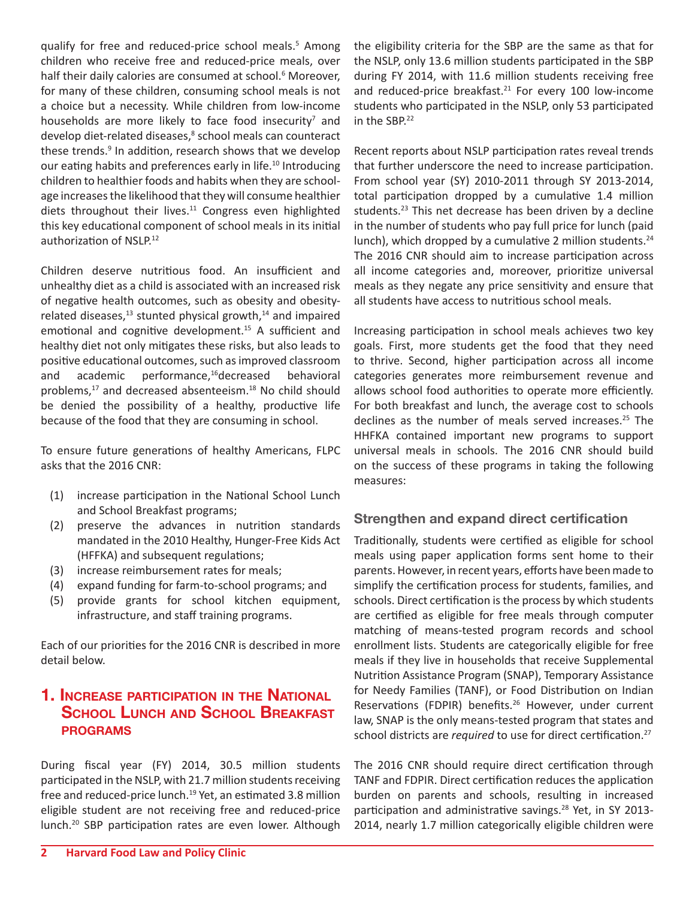qualify for free and reduced-price school meals.<sup>5</sup> Among children who receive free and reduced-price meals, over half their daily calories are consumed at school.<sup>6</sup> Moreover, for many of these children, consuming school meals is not a choice but a necessity. While children from low-income households are more likely to face food insecurity<sup>7</sup> and develop diet-related diseases,<sup>8</sup> school meals can counteract these trends.<sup>9</sup> In addition, research shows that we develop our eating habits and preferences early in life.<sup>10</sup> Introducing children to healthier foods and habits when they are schoolage increases the likelihood that they will consume healthier diets throughout their lives.<sup>11</sup> Congress even highlighted this key educational component of school meals in its initial authorization of NSLP.12

Children deserve nutritious food. An insufficient and unhealthy diet as a child is associated with an increased risk of negative health outcomes, such as obesity and obesityrelated diseases, $^{13}$  stunted physical growth, $^{14}$  and impaired emotional and cognitive development.<sup>15</sup> A sufficient and healthy diet not only mitigates these risks, but also leads to positive educational outcomes, such as improved classroom and academic performance,16decreased behavioral problems,17 and decreased absenteeism.18 No child should be denied the possibility of a healthy, productive life because of the food that they are consuming in school.

To ensure future generations of healthy Americans, FLPC asks that the 2016 CNR:

- (1) increase participation in the National School Lunch and School Breakfast programs;
- (2) preserve the advances in nutrition standards mandated in the 2010 Healthy, Hunger-Free Kids Act (HFFKA) and subsequent regulations;
- (3) increase reimbursement rates for meals;
- (4) expand funding for farm-to-school programs; and
- (5) provide grants for school kitchen equipment, infrastructure, and staff training programs.

Each of our priorities for the 2016 CNR is described in more detail below.

#### **1. Increase participation in the National School Lunch and School Breakfast programs**

During fiscal year (FY) 2014, 30.5 million students participated in the NSLP, with 21.7 million students receiving free and reduced-price lunch.<sup>19</sup> Yet, an estimated 3.8 million eligible student are not receiving free and reduced-price lunch.20 SBP participation rates are even lower. Although

the eligibility criteria for the SBP are the same as that for the NSLP, only 13.6 million students participated in the SBP during FY 2014, with 11.6 million students receiving free and reduced-price breakfast.<sup>21</sup> For every 100 low-income students who participated in the NSLP, only 53 participated in the SBP.<sup>22</sup>

Recent reports about NSLP participation rates reveal trends that further underscore the need to increase participation. From school year (SY) 2010-2011 through SY 2013-2014, total participation dropped by a cumulative 1.4 million students. $23$  This net decrease has been driven by a decline in the number of students who pay full price for lunch (paid lunch), which dropped by a cumulative 2 million students.<sup>24</sup> The 2016 CNR should aim to increase participation across all income categories and, moreover, prioritize universal meals as they negate any price sensitivity and ensure that all students have access to nutritious school meals.

Increasing participation in school meals achieves two key goals. First, more students get the food that they need to thrive. Second, higher participation across all income categories generates more reimbursement revenue and allows school food authorities to operate more efficiently. For both breakfast and lunch, the average cost to schools declines as the number of meals served increases.<sup>25</sup> The HHFKA contained important new programs to support universal meals in schools. The 2016 CNR should build on the success of these programs in taking the following measures:

#### **Strengthen and expand direct certification**

Traditionally, students were certified as eligible for school meals using paper application forms sent home to their parents. However, in recent years, efforts have been made to simplify the certification process for students, families, and schools. Direct certification is the process by which students are certified as eligible for free meals through computer matching of means-tested program records and school enrollment lists. Students are categorically eligible for free meals if they live in households that receive Supplemental Nutrition Assistance Program (SNAP), Temporary Assistance for Needy Families (TANF), or Food Distribution on Indian Reservations (FDPIR) benefits.<sup>26</sup> However, under current law, SNAP is the only means-tested program that states and school districts are *required* to use for direct certification.27

The 2016 CNR should require direct certification through TANF and FDPIR. Direct certification reduces the application burden on parents and schools, resulting in increased participation and administrative savings.<sup>28</sup> Yet, in SY 2013-2014, nearly 1.7 million categorically eligible children were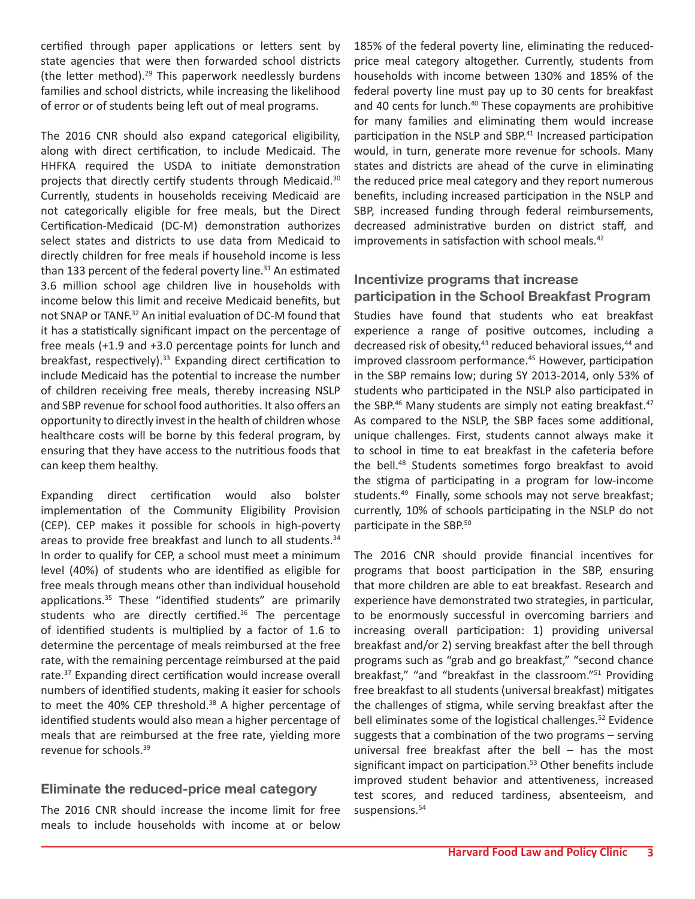certified through paper applications or letters sent by state agencies that were then forwarded school districts (the letter method).29 This paperwork needlessly burdens families and school districts, while increasing the likelihood of error or of students being left out of meal programs.

The 2016 CNR should also expand categorical eligibility, along with direct certification, to include Medicaid. The HHFKA required the USDA to initiate demonstration projects that directly certify students through Medicaid.<sup>30</sup> Currently, students in households receiving Medicaid are not categorically eligible for free meals, but the Direct Certification-Medicaid (DC-M) demonstration authorizes select states and districts to use data from Medicaid to directly children for free meals if household income is less than 133 percent of the federal poverty line. $31$  An estimated 3.6 million school age children live in households with income below this limit and receive Medicaid benefits, but not SNAP or TANF.32 An initial evaluation of DC-M found that it has a statistically significant impact on the percentage of free meals (+1.9 and +3.0 percentage points for lunch and breakfast, respectively).<sup>33</sup> Expanding direct certification to include Medicaid has the potential to increase the number of children receiving free meals, thereby increasing NSLP and SBP revenue for school food authorities. It also offers an opportunity to directly invest in the health of children whose healthcare costs will be borne by this federal program, by ensuring that they have access to the nutritious foods that can keep them healthy.

Expanding direct certification would also bolster implementation of the Community Eligibility Provision (CEP). CEP makes it possible for schools in high-poverty areas to provide free breakfast and lunch to all students.<sup>34</sup> In order to qualify for CEP, a school must meet a minimum level (40%) of students who are identified as eligible for free meals through means other than individual household applications.35 These "identified students" are primarily students who are directly certified.<sup>36</sup> The percentage of identified students is multiplied by a factor of 1.6 to determine the percentage of meals reimbursed at the free rate, with the remaining percentage reimbursed at the paid rate.37 Expanding direct certification would increase overall numbers of identified students, making it easier for schools to meet the 40% CEP threshold.<sup>38</sup> A higher percentage of identified students would also mean a higher percentage of meals that are reimbursed at the free rate, yielding more revenue for schools.39

#### **Eliminate the reduced-price meal category**

The 2016 CNR should increase the income limit for free meals to include households with income at or below

185% of the federal poverty line, eliminating the reducedprice meal category altogether. Currently, students from households with income between 130% and 185% of the federal poverty line must pay up to 30 cents for breakfast and 40 cents for lunch.<sup>40</sup> These copayments are prohibitive for many families and eliminating them would increase participation in the NSLP and SBP.<sup>41</sup> Increased participation would, in turn, generate more revenue for schools. Many states and districts are ahead of the curve in eliminating the reduced price meal category and they report numerous benefits, including increased participation in the NSLP and SBP, increased funding through federal reimbursements, decreased administrative burden on district staff, and improvements in satisfaction with school meals.<sup>42</sup>

#### **Incentivize programs that increase participation in the School Breakfast Program**

Studies have found that students who eat breakfast experience a range of positive outcomes, including a decreased risk of obesity,<sup>43</sup> reduced behavioral issues,<sup>44</sup> and improved classroom performance.<sup>45</sup> However, participation in the SBP remains low; during SY 2013-2014, only 53% of students who participated in the NSLP also participated in the SBP. $46$  Many students are simply not eating breakfast. $47$ As compared to the NSLP, the SBP faces some additional, unique challenges. First, students cannot always make it to school in time to eat breakfast in the cafeteria before the bell.<sup>48</sup> Students sometimes forgo breakfast to avoid the stigma of participating in a program for low-income students.<sup>49</sup> Finally, some schools may not serve breakfast; currently, 10% of schools participating in the NSLP do not participate in the SBP.50

The 2016 CNR should provide financial incentives for programs that boost participation in the SBP, ensuring that more children are able to eat breakfast. Research and experience have demonstrated two strategies, in particular, to be enormously successful in overcoming barriers and increasing overall participation: 1) providing universal breakfast and/or 2) serving breakfast after the bell through programs such as "grab and go breakfast," "second chance breakfast," "and "breakfast in the classroom."51 Providing free breakfast to all students (universal breakfast) mitigates the challenges of stigma, while serving breakfast after the bell eliminates some of the logistical challenges.<sup>52</sup> Evidence suggests that a combination of the two programs – serving universal free breakfast after the bell – has the most significant impact on participation.<sup>53</sup> Other benefits include improved student behavior and attentiveness, increased test scores, and reduced tardiness, absenteeism, and suspensions.<sup>54</sup>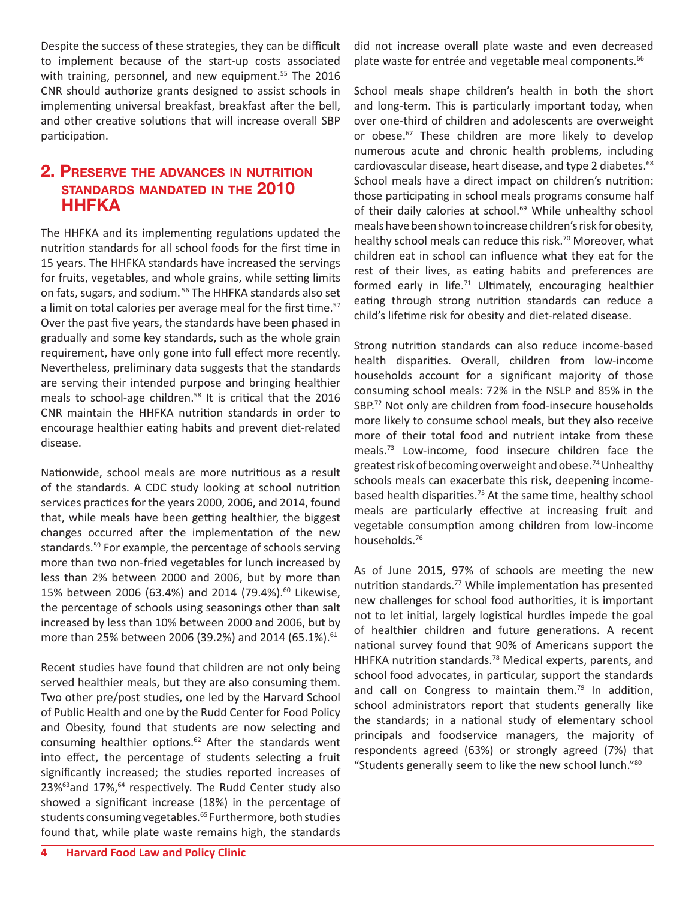Despite the success of these strategies, they can be difficult to implement because of the start-up costs associated with training, personnel, and new equipment.<sup>55</sup> The 2016 CNR should authorize grants designed to assist schools in implementing universal breakfast, breakfast after the bell, and other creative solutions that will increase overall SBP participation.

#### **2. Preserve the advances in nutrition standards mandated in the 2010 HHFKA**

The HHFKA and its implementing regulations updated the nutrition standards for all school foods for the first time in 15 years. The HHFKA standards have increased the servings for fruits, vegetables, and whole grains, while setting limits on fats, sugars, and sodium. 56 The HHFKA standards also set a limit on total calories per average meal for the first time.<sup>57</sup> Over the past five years, the standards have been phased in gradually and some key standards, such as the whole grain requirement, have only gone into full effect more recently. Nevertheless, preliminary data suggests that the standards are serving their intended purpose and bringing healthier meals to school-age children.<sup>58</sup> It is critical that the 2016 CNR maintain the HHFKA nutrition standards in order to encourage healthier eating habits and prevent diet-related disease.

Nationwide, school meals are more nutritious as a result of the standards. A CDC study looking at school nutrition services practices for the years 2000, 2006, and 2014, found that, while meals have been getting healthier, the biggest changes occurred after the implementation of the new standards.59 For example, the percentage of schools serving more than two non-fried vegetables for lunch increased by less than 2% between 2000 and 2006, but by more than 15% between 2006 (63.4%) and 2014 (79.4%).<sup>60</sup> Likewise, the percentage of schools using seasonings other than salt increased by less than 10% between 2000 and 2006, but by more than 25% between 2006 (39.2%) and 2014 (65.1%).<sup>61</sup>

Recent studies have found that children are not only being served healthier meals, but they are also consuming them. Two other pre/post studies, one led by the Harvard School of Public Health and one by the Rudd Center for Food Policy and Obesity, found that students are now selecting and consuming healthier options.<sup>62</sup> After the standards went into effect, the percentage of students selecting a fruit significantly increased; the studies reported increases of 23%<sup>63</sup>and 17%,<sup>64</sup> respectively. The Rudd Center study also showed a significant increase (18%) in the percentage of students consuming vegetables.<sup>65</sup> Furthermore, both studies found that, while plate waste remains high, the standards

did not increase overall plate waste and even decreased plate waste for entrée and vegetable meal components.<sup>66</sup>

School meals shape children's health in both the short and long-term. This is particularly important today, when over one-third of children and adolescents are overweight or obese.<sup>67</sup> These children are more likely to develop numerous acute and chronic health problems, including cardiovascular disease, heart disease, and type 2 diabetes.<sup>68</sup> School meals have a direct impact on children's nutrition: those participating in school meals programs consume half of their daily calories at school.<sup>69</sup> While unhealthy school meals have been shown to increase children's risk for obesity, healthy school meals can reduce this risk.<sup>70</sup> Moreover, what children eat in school can influence what they eat for the rest of their lives, as eating habits and preferences are formed early in life.<sup>71</sup> Ultimately, encouraging healthier eating through strong nutrition standards can reduce a child's lifetime risk for obesity and diet-related disease.

Strong nutrition standards can also reduce income-based health disparities. Overall, children from low-income households account for a significant majority of those consuming school meals: 72% in the NSLP and 85% in the SBP.<sup>72</sup> Not only are children from food-insecure households more likely to consume school meals, but they also receive more of their total food and nutrient intake from these meals.73 Low-income, food insecure children face the greatest risk of becoming overweight and obese.<sup>74</sup> Unhealthy schools meals can exacerbate this risk, deepening incomebased health disparities.<sup>75</sup> At the same time, healthy school meals are particularly effective at increasing fruit and vegetable consumption among children from low-income households.76

As of June 2015, 97% of schools are meeting the new nutrition standards.<sup>77</sup> While implementation has presented new challenges for school food authorities, it is important not to let initial, largely logistical hurdles impede the goal of healthier children and future generations. A recent national survey found that 90% of Americans support the HHFKA nutrition standards.<sup>78</sup> Medical experts, parents, and school food advocates, in particular, support the standards and call on Congress to maintain them.<sup>79</sup> In addition, school administrators report that students generally like the standards; in a national study of elementary school principals and foodservice managers, the majority of respondents agreed (63%) or strongly agreed (7%) that "Students generally seem to like the new school lunch."80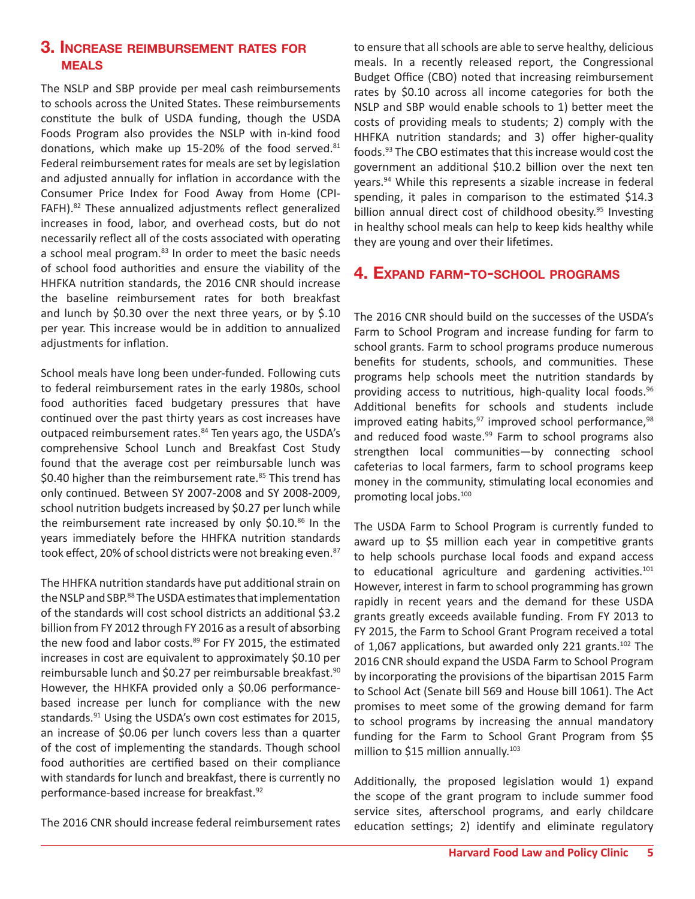#### **3. Increase reimbursement rates for meals**

The NSLP and SBP provide per meal cash reimbursements to schools across the United States. These reimbursements constitute the bulk of USDA funding, though the USDA Foods Program also provides the NSLP with in-kind food donations, which make up 15-20% of the food served. $81$ Federal reimbursement rates for meals are set by legislation and adjusted annually for inflation in accordance with the Consumer Price Index for Food Away from Home (CPI-FAFH).82 These annualized adjustments reflect generalized increases in food, labor, and overhead costs, but do not necessarily reflect all of the costs associated with operating a school meal program.<sup>83</sup> In order to meet the basic needs of school food authorities and ensure the viability of the HHFKA nutrition standards, the 2016 CNR should increase the baseline reimbursement rates for both breakfast and lunch by \$0.30 over the next three years, or by \$.10 per year. This increase would be in addition to annualized adjustments for inflation.

School meals have long been under-funded. Following cuts to federal reimbursement rates in the early 1980s, school food authorities faced budgetary pressures that have continued over the past thirty years as cost increases have outpaced reimbursement rates.<sup>84</sup> Ten years ago, the USDA's comprehensive School Lunch and Breakfast Cost Study found that the average cost per reimbursable lunch was \$0.40 higher than the reimbursement rate. $85$  This trend has only continued. Between SY 2007-2008 and SY 2008-2009, school nutrition budgets increased by \$0.27 per lunch while the reimbursement rate increased by only  $$0.10<sup>86</sup>$  In the years immediately before the HHFKA nutrition standards took effect, 20% of school districts were not breaking even.<sup>87</sup>

The HHFKA nutrition standards have put additional strain on the NSLP and SBP.<sup>88</sup> The USDA estimates that implementation of the standards will cost school districts an additional \$3.2 billion from FY 2012 through FY 2016 as a result of absorbing the new food and labor costs.<sup>89</sup> For FY 2015, the estimated increases in cost are equivalent to approximately \$0.10 per reimbursable lunch and \$0.27 per reimbursable breakfast.<sup>90</sup> However, the HHKFA provided only a \$0.06 performancebased increase per lunch for compliance with the new standards.91 Using the USDA's own cost estimates for 2015, an increase of \$0.06 per lunch covers less than a quarter of the cost of implementing the standards. Though school food authorities are certified based on their compliance with standards for lunch and breakfast, there is currently no performance-based increase for breakfast.<sup>92</sup>

The 2016 CNR should increase federal reimbursement rates

to ensure that all schools are able to serve healthy, delicious meals. In a recently released report, the Congressional Budget Office (CBO) noted that increasing reimbursement rates by \$0.10 across all income categories for both the NSLP and SBP would enable schools to 1) better meet the costs of providing meals to students; 2) comply with the HHFKA nutrition standards; and 3) offer higher-quality foods.93 The CBO estimates that this increase would cost the government an additional \$10.2 billion over the next ten years.94 While this represents a sizable increase in federal spending, it pales in comparison to the estimated \$14.3 billion annual direct cost of childhood obesity.<sup>95</sup> Investing in healthy school meals can help to keep kids healthy while they are young and over their lifetimes.

#### **4. Expand farm-to-school programs**

The 2016 CNR should build on the successes of the USDA's Farm to School Program and increase funding for farm to school grants. Farm to school programs produce numerous benefits for students, schools, and communities. These programs help schools meet the nutrition standards by providing access to nutritious, high-quality local foods.<sup>96</sup> Additional benefits for schools and students include improved eating habits, $97$  improved school performance, $98$ and reduced food waste.<sup>99</sup> Farm to school programs also strengthen local communities—by connecting school cafeterias to local farmers, farm to school programs keep money in the community, stimulating local economies and promoting local jobs.100

The USDA Farm to School Program is currently funded to award up to \$5 million each year in competitive grants to help schools purchase local foods and expand access to educational agriculture and gardening activities. $101$ However, interest in farm to school programming has grown rapidly in recent years and the demand for these USDA grants greatly exceeds available funding. From FY 2013 to FY 2015, the Farm to School Grant Program received a total of 1,067 applications, but awarded only 221 grants. $^{102}$  The 2016 CNR should expand the USDA Farm to School Program by incorporating the provisions of the bipartisan 2015 Farm to School Act (Senate bill 569 and House bill 1061). The Act promises to meet some of the growing demand for farm to school programs by increasing the annual mandatory funding for the Farm to School Grant Program from \$5 million to \$15 million annually.<sup>103</sup>

Additionally, the proposed legislation would 1) expand the scope of the grant program to include summer food service sites, afterschool programs, and early childcare education settings; 2) identify and eliminate regulatory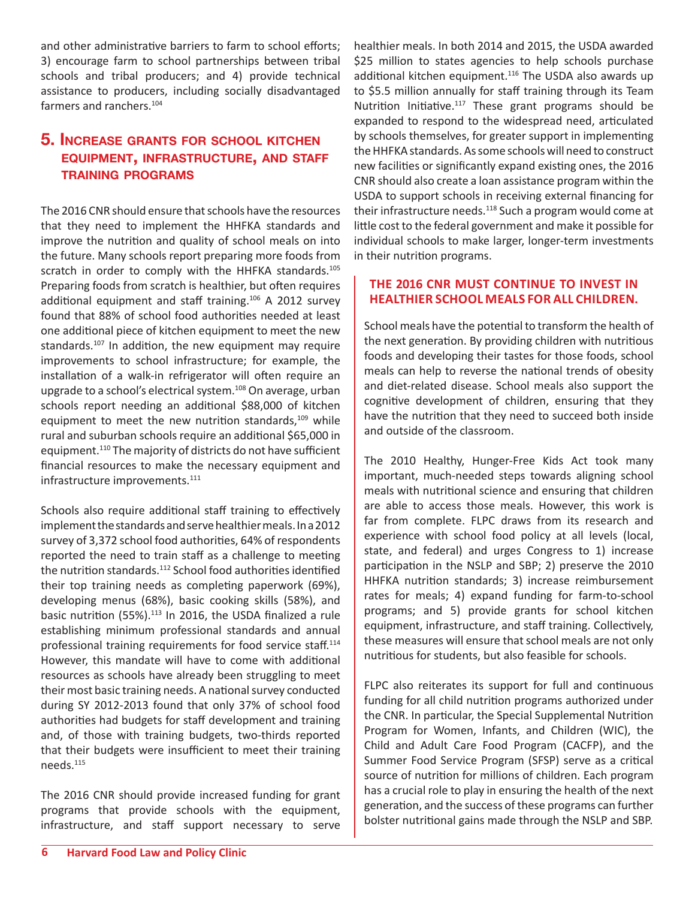and other administrative barriers to farm to school efforts; 3) encourage farm to school partnerships between tribal schools and tribal producers; and 4) provide technical assistance to producers, including socially disadvantaged farmers and ranchers.<sup>104</sup>

#### **5. Increase grants for school kitchen equipment, infrastructure, and staff training programs**

The 2016 CNR should ensure that schools have the resources that they need to implement the HHFKA standards and improve the nutrition and quality of school meals on into the future. Many schools report preparing more foods from scratch in order to comply with the HHFKA standards.<sup>105</sup> Preparing foods from scratch is healthier, but often requires additional equipment and staff training.106 A 2012 survey found that 88% of school food authorities needed at least one additional piece of kitchen equipment to meet the new standards.<sup>107</sup> In addition, the new equipment may require improvements to school infrastructure; for example, the installation of a walk-in refrigerator will often require an upgrade to a school's electrical system.<sup>108</sup> On average, urban schools report needing an additional \$88,000 of kitchen equipment to meet the new nutrition standards,<sup>109</sup> while rural and suburban schools require an additional \$65,000 in equipment.110 The majority of districts do not have sufficient financial resources to make the necessary equipment and infrastructure improvements.<sup>111</sup>

Schools also require additional staff training to effectively implement the standards and serve healthier meals. In a 2012 survey of 3,372 school food authorities, 64% of respondents reported the need to train staff as a challenge to meeting the nutrition standards.<sup>112</sup> School food authorities identified their top training needs as completing paperwork (69%), developing menus (68%), basic cooking skills (58%), and basic nutrition (55%).<sup>113</sup> In 2016, the USDA finalized a rule establishing minimum professional standards and annual professional training requirements for food service staff.114 However, this mandate will have to come with additional resources as schools have already been struggling to meet their most basic training needs. A national survey conducted during SY 2012-2013 found that only 37% of school food authorities had budgets for staff development and training and, of those with training budgets, two-thirds reported that their budgets were insufficient to meet their training needs.115

The 2016 CNR should provide increased funding for grant programs that provide schools with the equipment, infrastructure, and staff support necessary to serve

healthier meals. In both 2014 and 2015, the USDA awarded \$25 million to states agencies to help schools purchase additional kitchen equipment.<sup>116</sup> The USDA also awards up to \$5.5 million annually for staff training through its Team Nutrition Initiative.<sup>117</sup> These grant programs should be expanded to respond to the widespread need, articulated by schools themselves, for greater support in implementing the HHFKA standards. As some schools will need to construct new facilities or significantly expand existing ones, the 2016 CNR should also create a loan assistance program within the USDA to support schools in receiving external financing for their infrastructure needs.<sup>118</sup> Such a program would come at little cost to the federal government and make it possible for individual schools to make larger, longer-term investments in their nutrition programs.

#### **THE 2016 CNR MUST CONTINUE TO INVEST IN HEALTHIER SCHOOL MEALS FOR ALL CHILDREN.**

School meals have the potential to transform the health of the next generation. By providing children with nutritious foods and developing their tastes for those foods, school meals can help to reverse the national trends of obesity and diet-related disease. School meals also support the cognitive development of children, ensuring that they have the nutrition that they need to succeed both inside and outside of the classroom.

The 2010 Healthy, Hunger-Free Kids Act took many important, much-needed steps towards aligning school meals with nutritional science and ensuring that children are able to access those meals. However, this work is far from complete. FLPC draws from its research and experience with school food policy at all levels (local, state, and federal) and urges Congress to 1) increase participation in the NSLP and SBP; 2) preserve the 2010 HHFKA nutrition standards; 3) increase reimbursement rates for meals; 4) expand funding for farm-to-school programs; and 5) provide grants for school kitchen equipment, infrastructure, and staff training. Collectively, these measures will ensure that school meals are not only nutritious for students, but also feasible for schools.

FLPC also reiterates its support for full and continuous funding for all child nutrition programs authorized under the CNR. In particular, the Special Supplemental Nutrition Program for Women, Infants, and Children (WIC), the Child and Adult Care Food Program (CACFP), and the Summer Food Service Program (SFSP) serve as a critical source of nutrition for millions of children. Each program has a crucial role to play in ensuring the health of the next generation, and the success of these programs can further bolster nutritional gains made through the NSLP and SBP.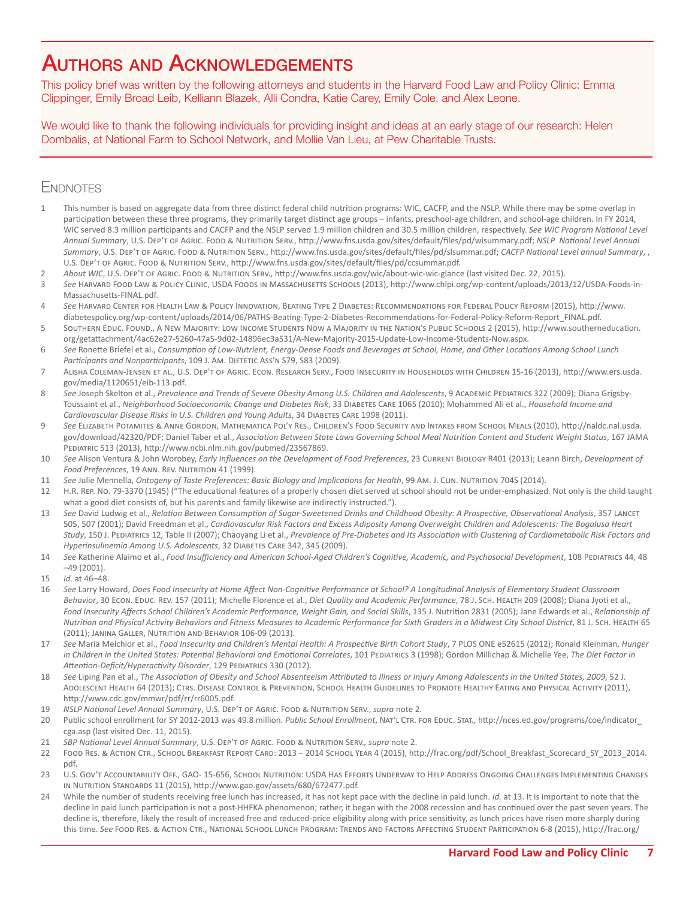### Authors and Acknowledgements

This policy brief was written by the following attorneys and students in the Harvard Food Law and Policy Clinic: Emma Clippinger, Emily Broad Leib, Kelliann Blazek, Alli Condra, Katie Carey, Emily Cole, and Alex Leone.

We would like to thank the following individuals for providing insight and ideas at an early stage of our research: Helen Dombalis, at National Farm to School Network, and Mollie Van Lieu, at Pew Charitable Trusts.

#### **ENDNOTES**

- This number is based on aggregate data from three distinct federal child nutrition programs: WIC, CACFP, and the NSLP. While there may be some overlap in participation between these three programs, they primarily target distinct age groups – infants, preschool-age children, and school-age children. In FY 2014, WIC served 8.3 million participants and CACFP and the NSLP served 1.9 million children and 30.5 million children, respectively. See WIC Program National Level *Annual Summary*, U.S. Dep't of Agric. Food & Nutrition Serv., [http://www.fns.usda.gov/sites/default/files/pd/wisummary.pdf;](http://www.fns.usda.gov/sites/default/files/pd/wisummary.pdf) *NSLP National Level Annual Summary*, U.S. Dep't of Agric. Food & Nutrition Serv., [http://www.fns.usda.gov/sites/default/files/pd/slsummar.pdf;](http://www.fns.usda.gov/sites/default/files/pd/slsummar.pdf) *CACFP National Level annual Summary*, , U.S. Dep't of Agric. Food & Nutrition Serv., <http://www.fns.usda.gov/sites/default/files/pd/ccsummar.pdf>.
- 2 *About WIC*, U.S. Dep't of Agric. Food & Nutrition Serv.,<http://www.fns.usda.gov/wic/about-wic-wic-glance> (last visited Dec. 22, 2015).
- 3 *See* Harvard Food Law & Policy Clinic, USDA Foods in Massachusetts Schools (2013), [http://www.chlpi.org/wp-content/uploads/2013/12/USDA-Foods-in-](http://www.chlpi.org/wp-content/uploads/2013/12/USDA-Foods-in-Massachusetts-FINAL.pdf)[Massachusetts-FINAL.pdf](http://www.chlpi.org/wp-content/uploads/2013/12/USDA-Foods-in-Massachusetts-FINAL.pdf).
- 4 *See* Harvard Center for Health Law & Policy Innovation, Beating Type 2 Diabetes: Recommendations for Federal Policy Reform (2015), [http://www.](http://www.diabetespolicy.org/wp-content/uploads/2014/06/PATHS-Beating-Type-2-Diabetes-Recommendations-for-Federal-Policy-Reform-Report_FINAL.pdf) [diabetespolicy.org/wp-content/uploads/2014/06/PATHS-Beating-Type-2-Diabetes-Recommendations-for-Federal-Policy-Reform-Report\\_FINAL.pdf](http://www.diabetespolicy.org/wp-content/uploads/2014/06/PATHS-Beating-Type-2-Diabetes-Recommendations-for-Federal-Policy-Reform-Report_FINAL.pdf).
- 5 Southern Educ. Found., A New Majority: Low Income Students Now a Majority in the Nation's Public Schools 2 (2015), [http://www.southerneducation.](http://www.southerneducation.org/getattachment/4ac62e27-5260-47a5-9d02-14896ec3a531/A-New-Majority-2015-Update-Low-Income-Students-Now.aspx) [org/getattachment/4ac62e27-5260-47a5-9d02-14896ec3a531/A-New-Majority-2015-Update-Low-Income-Students-Now.aspx](http://www.southerneducation.org/getattachment/4ac62e27-5260-47a5-9d02-14896ec3a531/A-New-Majority-2015-Update-Low-Income-Students-Now.aspx).
- 6 *See* Ronette Briefel et al., *Consumption of Low-Nutrient, Energy-Dense Foods and Beverages at School, Home, and Other Locations Among School Lunch*  Participants and Nonparticipants, 109 J. Am. DIETETIC Ass'N S79, S83 (2009).
- 7 Alisha Coleman-Jensen et al., U.S. Dep't of Agric. Econ. Research Serv., Food Insecurity in Households with Children 15-16 (2013), [http://www.ers.usda.](http://www.ers.usda.gov/media/1120651/eib-113.pdf) [gov/media/1120651/eib-113.pdf](http://www.ers.usda.gov/media/1120651/eib-113.pdf).
- 8 See Joseph Skelton et al., Prevalence and Trends of Severe Obesity Among U.S. Children and Adolescents, 9 ACADEMIC PEDIATRICS 322 (2009); Diana Grigsby-Toussaint et al., *Neighborhood Socioeconomic Change and Diabetes Risk*, 33 Diabetes Care 1065 (2010); Mohammed Ali et al., *Household Income and Cardiovascular Disease Risks in U.S. Children and Young Adults*, 34 Diabetes Care 1998 (2011).
- 9 *See* Elizabeth Potamites & Anne Gordon, Mathematica Pol'y Res., Children's Food Security and Intakes from School Meals (2010), [http://naldc.nal.usda.](http://naldc.nal.usda.gov/download/42320/PDF) [gov/download/42320/PDF](http://naldc.nal.usda.gov/download/42320/PDF); Daniel Taber et al., *Association Between State Laws Governing School Meal Nutrition Content and Student Weight Status*, 167 JAMA Pediatric 513 (2013),<http://www.ncbi.nlm.nih.gov/pubmed/23567869>.
- 10 *See* Alison Ventura & John Worobey, *Early Influences on the Development of Food Preferences*, 23 Current Biology R401 (2013); Leann Birch, *Development of*  Food Preferences, 19 ANN. REV. NUTRITION 41 (1999).
- 11 *See* Julie Mennella, *Ontogeny of Taste Preferences: Basic Biology and Implications for Health*, 99 Am. J. Clin. Nutrition 704S (2014).
- 12 H.R. Rep. No. 79-3370 (1945) ("The educational features of a properly chosen diet served at school should not be under-emphasized. Not only is the child taught what a good diet consists of, but his parents and family likewise are indirectly instructed.").
- 13 *See* David Ludwig et al., *Relation Between Consumption of Sugar-Sweetened Drinks and Childhood Obesity: A Prospective, Observational Analysis*, 357 Lancet 505, 507 (2001); David Freedman et al., *Cardiovascular Risk Factors and Excess Adiposity Among Overweight Children and Adolescents: The Bogalusa Heart Study*, 150 J. Pediatrics 12, Table II (2007); Chaoyang Li et al., *Prevalence of Pre-Diabetes and Its Association with Clustering of Cardiometabolic Risk Factors and Hyperinsulinemia Among U.S. Adolescents*, 32 Diabetes Care 342, 345 (2009).
- 14 See Katherine Alaimo et al., *Food Insufficiency and American School-Aged Children's Cognitive, Academic, and Psychosocial Development, 108 PEDIATRICS 44, 48*  $-49(2001)$
- 15 *Id.* at 46–48.
- 16 *See* Larry Howard, *Does Food Insecurity at Home Affect Non-Cognitive Performance at School? A Longitudinal Analysis of Elementary Student Classroom*  Behavior, 30 Econ. Educ. Rev. 157 (2011); Michelle Florence et al., *Diet Quality and Academic Performance*, 78 J. Scн. Неацтн 209 (2008); Diana Jyoti et al., Food Insecurity Affects School Children's Academic Performance, Weight Gain, and Social Skills, 135 J. Nutrition 2831 (2005); Jane Edwards et al., *Relationship of Nutrition and Physical Activity Behaviors and Fitness Measures to Academic Performance for Sixth Graders in a Midwest City School District*, 81 J. Sch. Health 65 (2011); Janina Galler, Nutrition and Behavior 106-09 (2013).
- 17 *See* Maria Melchior et al., *Food Insecurity and Children's Mental Health: A Prospective Birth Cohort Study*, 7 PLOS ONE e52615 (2012); Ronald Kleinman, *Hunger in Children in the United States: Potential Behavioral and Emotional Correlates*, 101 Pediatrics 3 (1998); Gordon Millichap & Michelle Yee, *The Diet Factor in Attention-Deficit/Hyperactivity Disorder*, 129 Pediatrics 330 (2012).
- 18 *See* Liping Pan et al., *The Association of Obesity and School Absenteeism Attributed to Illness or Injury Among Adolescents in the United States, 2009*, 52 J. Adolescent Health 64 (2013); Ctrs. Disease Control & Prevention, School Health Guidelines to Promote Healthy Eating and Physical Activity (2011), <http://www.cdc.gov/mmwr/pdf/rr/rr6005.pdf>.
- 19 *NSLP National Level Annual Summary*, U.S. Dep't of Agric. Food & Nutrition Serv., *supra* note [2.](#page-0-0)
- 20 Public school enrollment for SY 2012-2013 was 49.8 million. *Public School Enrollment*, Nat'l Ctr. for Educ. Stat., [http://nces.ed.gov/programs/coe/indicator\\_](http://nces.ed.gov/programs/coe/indicator_cga.asp) [cga.asp](http://nces.ed.gov/programs/coe/indicator_cga.asp) (last visited Dec. 11, 2015).
- 21 *SBP National Level Annual Summary*, U.S. Dep't of Agric. Food & Nutrition Serv.*, supra* note 2.
- 22 Food Res. & Action Ctr., School Breakfast Report Card: 2013 2014 School Year 4 (2015), [http://frac.org/pdf/School\\_Breakfast\\_Scorecard\\_SY\\_2013\\_2014.](http://frac.org/pdf/School_Breakfast_Scorecard_SY_2013_2014.pdf) [pdf](http://frac.org/pdf/School_Breakfast_Scorecard_SY_2013_2014.pdf).
- 23 U.S. Gov't Accountability Off., GAO- 15-656, School Nutrition: USDA Has Efforts Underway to Help Address Ongoing Challenges Implementing Changes in Nutrition Standards 11 (2015), [http://www.gao.gov/assets/680/672477.pdf.](http://www.gao.gov/assets/680/672477.pdf)
- 24 While the number of students receiving free lunch has increased, it has not kept pace with the decline in paid lunch. *Id*. at 13. It is important to note that the decline in paid lunch participation is not a post-HHFKA phenomenon; rather, it began with the 2008 recession and has continued over the past seven years. The decline is, therefore, likely the result of increased free and reduced-price eligibility along with price sensitivity, as lunch prices have risen more sharply during this time. See Food Res. & Action Ctr., National School Lunch Program: Trends and Factors Affecting Student Participation 6-8 (2015), [http://frac.org/](http://frac.org/pdf/national_school_lunch_report_2015.pdf)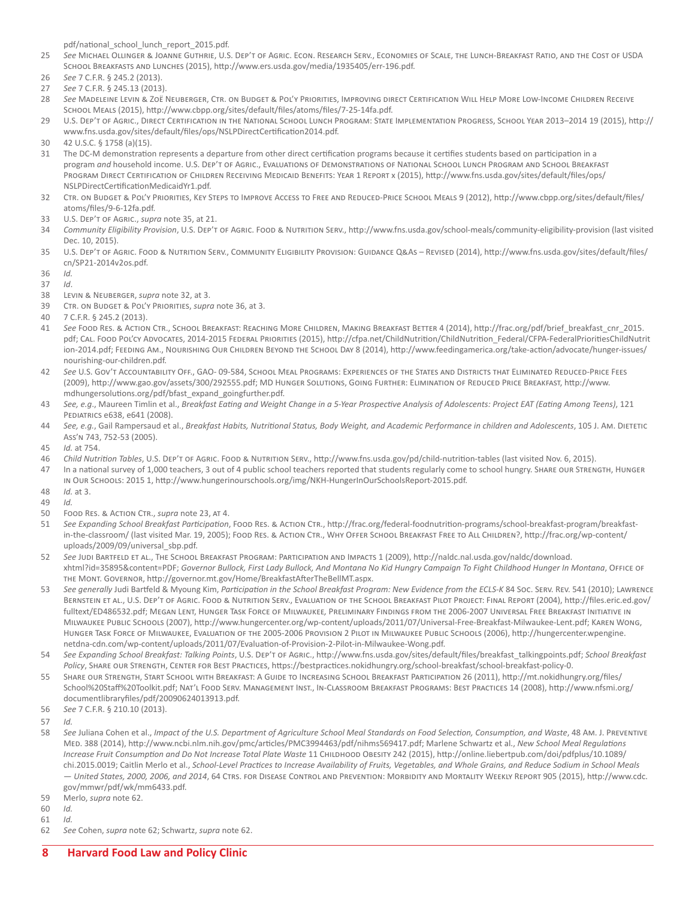[pdf/national\\_school\\_lunch\\_report\\_2015.pdf](http://frac.org/pdf/national_school_lunch_report_2015.pdf).

- 25 *See* Michael Ollinger & Joanne Guthrie, U.S. Dep't of Agric. Econ. Research Serv., Economies of Scale, the Lunch-Breakfast Ratio, and the Cost of USDA School Breakfasts and Lunches (2015), [http://www.ers.usda.gov/media/1935405/err-196.pdf.](http://www.ers.usda.gov/media/1935405/err-196.pdf)
- 26 *See* 7 C.F.R. § 245.2 (2013).
- 27 *See* 7 C.F.R. § 245.13 (2013).
- 28 *See* Madeleine Levin & Zoë Neuberger, Ctr. on Budget & Pol'y Priorities, Improving direct Certification Will Help More Low-Income Children Receive School Meals (2015),<http://www.cbpp.org/sites/default/files/atoms/files/7-25-14fa.pdf>.
- 29 U.S. Dep't of Agric., Direct Certification in the National School Lunch Program: State Implementation Progress, School Year 2013–2014 19 (2015), [http://](http://www.fns.usda.gov/sites/default/files/ops/NSLPDirectCertification2014.pdf) [www.fns.usda.gov/sites/default/files/ops/NSLPDirectCertification2014.pdf.](http://www.fns.usda.gov/sites/default/files/ops/NSLPDirectCertification2014.pdf)
- 30 42 U.S.C. § 1758 (a)(15).
- 31 The DC-M demonstration represents a departure from other direct certification programs because it certifies students based on participation in a program *and* household income. U.S. Dep't of Agric., Evaluations of Demonstrations of National School Lunch Program and School Breakfast Program Direct Certification of Children Receiving Medicaid Benefits: Year 1 Report x (2015), [http://www.fns.usda.gov/sites/default/files/ops/](http://www.fns.usda.gov/sites/default/files/ops/NSLPDirectCertificationMedicaidYr1.pdf) [NSLPDirectCertificationMedicaidYr1.pdf](http://www.fns.usda.gov/sites/default/files/ops/NSLPDirectCertificationMedicaidYr1.pdf).
- 32 Ctr. on Budget & Pol'y Priorities, Key Steps to Improve Access to Free and Reduced-Price School Meals 9 (2012), [http://www.cbpp.org/sites/default/files/](http://www.cbpp.org/sites/default/files/atoms/files/9-6-12fa.pdf.) [atoms/files/9-6-12fa.pdf.](http://www.cbpp.org/sites/default/files/atoms/files/9-6-12fa.pdf.)
- 33 U.S. Dep't of Agric., *supra* note 35, at 21.
- 34 *Community Eligibility Provision*, U.S. Dep't of Agric. Food & Nutrition Serv.,<http://www.fns.usda.gov/school-meals/community-eligibility-provision> (last visited Dec. 10, 2015).
- 35 U.S. Dep't of Agric. Food & Nutrition Serv., Community Eligibility Provision: Guidance Q&As Revised (2014), [http://www.fns.usda.gov/sites/default/files/](http://www.fns.usda.gov/sites/default/files/cn/SP21-2014v2os.pdf) [cn/SP21-2014v2os.pdf.](http://www.fns.usda.gov/sites/default/files/cn/SP21-2014v2os.pdf)
- 36 *Id.*
- 37 *Id*.
- 38 Levin & Neuberger, *supra* note 32, at 3.
- 39 Ctr. on Budget & Pol'y Priorities, *supra* note 36, at 3.
- 40 7 C.F.R. § 245.2 (2013).
- 41 *See* Food Res. & Action Ctr., School Breakfast: Reaching More Children, Making Breakfast Better 4 (2014), [http://frac.org/pdf/brief\\_breakfast\\_cnr\\_2015.](http://frac.org/pdf/brief_breakfast_cnr_2015.pdf) [pdf;](http://frac.org/pdf/brief_breakfast_cnr_2015.pdf) CAL. FOOD POL'CY ADVOCATES, 2014-2015 FEDERAL PRIORITIES (2015), [http://cfpa.net/ChildNutrition/ChildNutrition\\_Federal/CFPA-FederalPrioritiesChildNutrit](http://cfpa.net/ChildNutrition/ChildNutrition_Federal/CFPA-FederalPrioritiesChildNutrition-2014.pdf)i [ion-2014.pdf;](http://cfpa.net/ChildNutrition/ChildNutrition_Federal/CFPA-FederalPrioritiesChildNutrition-2014.pdf) FEEDING AM., NOURISHING OUR CHILDREN BEYOND THE SCHOOL DAY 8 (2014), [http://www.feedingamerica.org/take-action/advocate/hunger-issues/](http://www.feedingamerica.org/take-action/advocate/hunger-issues/nourishing-our-children.pdf) [nourishing-our-children.pdf.](http://www.feedingamerica.org/take-action/advocate/hunger-issues/nourishing-our-children.pdf)
- 42 *See* U.S. Gov't Accountability Off., GAO- 09-584, School Meal Programs: Experiences of the States and Districts that Eliminated Reduced-Price Fees (2009), [http://www.gao.gov/assets/300/292555.pdf;](http://www.gao.gov/assets/300/292555.pdf) MD Hunger Solutions, Going Further: Elimination of Reduced Price Breakfast, [http://www.](http://www.mdhungersolutions.org/pdf/bfast_expand_goingfurther.pdf ) [mdhungersolutions.org/pdf/bfast\\_expand\\_goingfurther.pdf.](http://www.mdhungersolutions.org/pdf/bfast_expand_goingfurther.pdf )
- 43 *See, e.g*., Maureen Timlin et al., *Breakfast Eating and Weight Change in a 5-Year Prospective Analysis of Adolescents: Project EAT (Eating Among Teens)*, 121 Pediatrics e638, e641 (2008).
- 44 *See, e.g.*, Gail Rampersaud et al., *Breakfast Habits, Nutritional Status, Body Weight, and Academic Performance in children and Adolescents*, 105 J. Am. Dietetic Ass'n 743, 752-53 (2005).
- 45 *Id.* at 754.
- 46 *Child Nutrition Tables*, U.S. Dep't of Agric. Food & Nutrition Serv., <http://www.fns.usda.gov/pd/child-nutrition-tables>(last visited Nov. 6, 2015).
- 47 In a national survey of 1,000 teachers, 3 out of 4 public school teachers reported that students regularly come to school hungry. Share our Strength, Hunger in Our Schools: 2015 1, [http://www.hungerinourschools.org/img/NKH-HungerInOurSchoolsReport-2015.pdf.](http://www.hungerinourschools.org/img/NKH-HungerInOurSchoolsReport-2015.pdf)
- 48 *Id.* at 3. 49 *Id.*
- 50 Food Res. & Action Ctr., *supra* note 23, at 4.
- 51 *See Expanding School Breakfast Participation*, Food Res. & Action Ctr., [http://frac.org/federal-foodnutrition-programs/school-breakfast-program/breakfast](http://frac.org/federal-foodnutrition-programs/school-breakfast-program/breakfast-in-the-classroom/)[in-the-classroom/](http://frac.org/federal-foodnutrition-programs/school-breakfast-program/breakfast-in-the-classroom/) (last visited Mar. 19, 2005); FOOD REs. & ACTION CTR., WHY OFFER SCHOOL BREAKFAST FREE TO ALL CHILDREN?, [http://frac.org/wp-content/](http://frac.org/wp-content/uploads/2009/09/universal_sbp.pdf) [uploads/2009/09/universal\\_sbp.pdf](http://frac.org/wp-content/uploads/2009/09/universal_sbp.pdf).
- 52 *See* Judi Bartfeld et al., The School Breakfast Program: Participation and Impacts 1 (2009), [http://naldc.nal.usda.gov/naldc/download.](http://naldc.nal.usda.gov/naldc/download.xhtml?id=35895&content=PDF) [xhtml?id=35895&content=PDF;](http://naldc.nal.usda.gov/naldc/download.xhtml?id=35895&content=PDF) *Governor Bullock, First Lady Bullock, And Montana No Kid Hungry Campaign To Fight Childhood Hunger In Montana*, Office of the Mont. Governor, <http://governor.mt.gov/Home/BreakfastAfterTheBellMT.aspx>.
- 53 *See generally* Judi Bartfeld & Myoung Kim, *Participation in the School Breakfast Program: New Evidence from the ECLS-K* 84 Soc. Serv. Rev. 541 (2010); Lawrence Bernstein et al., U.S. Dep't of Agric. Food & Nutrition Serv., Evaluation of the School Breakfast Pilot Project: Final Report (2004), [http://files.eric.ed.gov/](http://files.eric.ed.gov/fulltext/ED486532.pdf) [fulltext/ED486532.pdf](http://files.eric.ed.gov/fulltext/ED486532.pdf); Megan Lent, Hunger Task Force of Milwaukee*,* Preliminary Findings from the 2006-2007 Universal Free Breakfast Initiative in Milwaukee Public Schools (2007),<http://www.hungercenter.org/wp-content/uploads/2011/07/Universal-Free-Breakfast-Milwaukee-Lent.pdf>; Karen Wong, Hunger Task Force of Milwaukee, Evaluation of the 2005-2006 Provision 2 Pilot in Milwaukee Public Schools (2006), [http://hungercenter.wpengine.](http://hungercenter.wpengine.netdna-cdn.com/wp-content/uploads/2011/07/Evaluation-of-Provision-2-Pilot-in-Milwaukee-Wong.pdf) [netdna-cdn.com/wp-content/uploads/2011/07/Evaluation-of-Provision-2-Pilot-in-Milwaukee-Wong.pdf](http://hungercenter.wpengine.netdna-cdn.com/wp-content/uploads/2011/07/Evaluation-of-Provision-2-Pilot-in-Milwaukee-Wong.pdf).
- 54 *See Expanding School Breakfast: Talking Points*, U.S. Dep't of Agric., [http://www.fns.usda.gov/sites/default/files/breakfast\\_talkingpoints.pdf;](http://www.fns.usda.gov/sites/default/files/breakfast_talkingpoints.pdf) *School Breakfast Policy*, Share our Strength, Center for Best Practices, https://bestpractices.nokidhungry.org/school-breakfast/school-breakfast-policy-0.
- 55 Share our Strength, Start School with Breakfast: A Guide to Increasing School Breakfast Participation 26 (2011), http://mt.nokidhungry.org/files/ School%20Staff%20Toolkit.pdf; Nat'l Food Serv. Management Inst., In-Classroom Breakfast Programs: Best Practices 14 (2008), http://www.nfsmi.org/ documentlibraryfiles/pdf/20090624013913.pdf.
- 56 *See* 7 C.F.R. § 210.10 (2013).
- 57 *Id.*
- 58 *See* Juliana Cohen et al., *Impact of the U.S. Department of Agriculture School Meal Standards on Food Selection, Consumption, and Waste*, 48 Am. J. Preventive Med. 388 (2014), [http://www.ncbi.nlm.nih.gov/pmc/articles/PMC3994463/pdf/nihms569417.pdf;](http://www.ncbi.nlm.nih.gov/pmc/articles/PMC3994463/pdf/nihms569417.pdf) Marlene Schwartz et al., *New School Meal Regulations Increase Fruit Consumption and Do Not Increase Total Plate Waste* 11 Childhood Obesity 242 (2015), [http://online.liebertpub.com/doi/pdfplus/10.1089/](http://online.liebertpub.com/doi/pdfplus/10.1089/chi.2015.0019) [chi.2015.0019;](http://online.liebertpub.com/doi/pdfplus/10.1089/chi.2015.0019) Caitlin Merlo et al., *School-Level Practices to Increase Availability of Fruits, Vegetables, and Whole Grains, and Reduce Sodium in School Meals — United States, 2000, 2006, and 2014*, 64 Ctrs. for Disease Control and Prevention: Morbidity and Mortality Weekly Report 905 (2015), http://www.cdc. gov/mmwr/pdf/wk/mm6433.pdf.
- 59 Merlo, *supra* note 62.
- 60 *Id.*
- 61 *Id.*
- 62 *See* Cohen, *supra* note 62; Schwartz, *supra* note 62.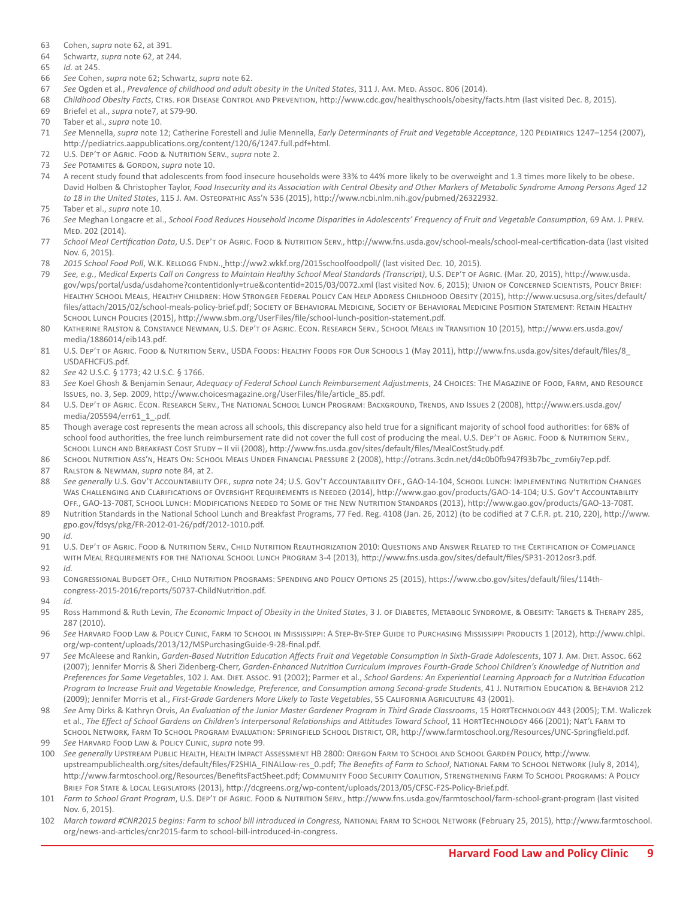- 63 Cohen, *supra* note 62, at 391.
- 64 Schwartz, *supra* note 62, at 244.
- 65 *Id.* at 245.
- 66 *See* Cohen, *supra* note 62; Schwartz, *supra* note 62.
- 67 *See* Ogden et al., *Prevalence of childhood and adult obesity in the United States*, 311 J. Am. Med. Assoc. 806 (2014).
- 68 *Childhood Obesity Facts*, Ctrs. for Disease Control and Prevention, <http://www.cdc.gov/healthyschools/obesity/facts.htm> (last visited Dec. 8, 2015).
- 69 Briefel et al., *supra* note7, at S79-90.
- 70 Taber et al., *supra* note 10.
- 71 *See* Mennella, *supra* note 12; Catherine Forestell and Julie Mennella, *Early Determinants of Fruit and Vegetable Acceptance*, 120 Pediatrics 1247–1254 (2007), [http://pediatrics.aappublications.org/content/120/6/1247.full.pdf+html.](http://pediatrics.aappublications.org/content/120/6/1247.full.pdf+html)
- 72 U.S. Dep't of Agric. Food & Nutrition Serv., *supra* note 2.
- 73 *See* Potamites & Gordon, *supra* note 10.
- 74 A recent study found that adolescents from food insecure households were 33% to 44% more likely to be overweight and 1.3 times more likely to be obese. David Holben & Christopher Taylor, *Food Insecurity and its Association with Central Obesity and Other Markers of Metabolic Syndrome Among Persons Aged 12 to 18 in the United States*, 115 J. Am. Osteopathic Ass'n 536 (2015), [http://www.ncbi.nlm.nih.gov/pubmed/26322932.](http://www.ncbi.nlm.nih.gov/pubmed/26322932)
- 75 Taber et al., *supra* note 10.
- 76 *See* Meghan Longacre et al., *School Food Reduces Household Income Disparities in Adolescents' Frequency of Fruit and Vegetable Consumption*, 69 Am. J. Prev. Med. 202 (2014).
- 77 *School Meal Certification Data*, U.S. Dep't of Agric. Food & Nutrition Serv., <http://www.fns.usda.gov/school-meals/school-meal-certification-data>(last visited Nov. 6, 2015).
- 78 *2015 School Food Poll*, W.K. Kellogg Fndn., <http://ww2.wkkf.org/2015schoolfoodpoll/>(last visited Dec. 10, 2015).
- 79 *See, e.g.*, *Medical Experts Call on Congress to Maintain Healthy School Meal Standards (Transcript)*, U.S. Dep't of Agric. (Mar. 20, 2015), [http://www.usda.](http://www.usda.gov/wps/portal/usda/usdahome?contentidonly=true&contentid=2015/03/0072.xml) [gov/wps/portal/usda/usdahome?contentidonly=true&contentid=2015/03/0072.xml](http://www.usda.gov/wps/portal/usda/usdahome?contentidonly=true&contentid=2015/03/0072.xml) (last visited Nov. 6, 2015); UNION OF CONCERNED SCIENTISTS, POLICY BRIEF: HEALTHY SCHOOL MEALS, HEALTHY CHILDREN: HOW STRONGER FEDERAL POLICY CAN HELP ADDRESS CHILDHOOD OBESITY (2015), [http://www.ucsusa.org/sites/default/](http://www.ucsusa.org/sites/default/files/attach/2015/02/school-meals-policy-brief.pdf) [files/attach/2015/02/school-meals-policy-brief.pdf;](http://www.ucsusa.org/sites/default/files/attach/2015/02/school-meals-policy-brief.pdf) Society of Behavioral Medicine*,* Society of Behavioral Medicine Position Statement: Retain Healthy School Lunch Policies (2015), [http://www.sbm.org/UserFiles/file/school-lunch-position-statement.pdf.](http://www.sbm.org/UserFiles/file/school-lunch-position-statement.pdf)
- 80 Katherine Ralston & Constance Newman, U.S. Dep't of Agric. Econ. Research Serv., School Meals in Transition 10 (2015), [http://www.ers.usda.gov/](http://www.ers.usda.gov/media/1886014/eib143.pdf) [media/1886014/eib143.pdf](http://www.ers.usda.gov/media/1886014/eib143.pdf).
- 81 U.S. Dep't of Agric. Food & Nutrition Serv., USDA Foods: Healthy Foods for Our Schools 1 (May 2011), [http://www.fns.usda.gov/sites/default/files/8\\_](http://www.fns.usda.gov/sites/default/files/8_USDAFHCFUS.pdf) [USDAFHCFUS.pdf.](http://www.fns.usda.gov/sites/default/files/8_USDAFHCFUS.pdf)
- 82 *See* 42 U.S.C. § 1773; 42 U.S.C. § 1766.
- 83 *See* Koel Ghosh & Benjamin Senaur, *Adequacy of Federal School Lunch Reimbursement Adjustments*, 24 Choices: The Magazine of Food, Farm, and Resource Issues, no. 3, Sep. 2009, [http://www.choicesmagazine.org/UserFiles/file/article\\_85.pdf](http://www.choicesmagazine.org/UserFiles/file/article_85.pdf).
- 84 U.S. Dep't of Agric. Econ. Research Serv., The National School Lunch Program: Background, Trends, and Issues 2 (2008), [http://www.ers.usda.gov/](http://www.ers.usda.gov/media/205594/err61_1_.pdf) [media/205594/err61\\_1\\_.pdf.](http://www.ers.usda.gov/media/205594/err61_1_.pdf)
- 85 Though average cost represents the mean across all schools, this discrepancy also held true for a significant majority of school food authorities: for 68% of school food authorities, the free lunch reimbursement rate did not cover the full cost of producing the meal. U.S. DEP'T OF AGRIC. FOOD & NUTRITION SERV., School Lunch and Breakfast Cost Study – II vii (2008), <http://www.fns.usda.gov/sites/default/files/MealCostStudy.pdf>.
- 86 School Nutrition Ass'n, Heats On: School Meals Under Financial Pressure 2 (2008), [http://otrans.3cdn.net/d4c0b0fb947f93b7bc\\_zvm6iy7ep.pdf](http://otrans.3cdn.net/d4c0b0fb947f93b7bc_zvm6iy7ep.pdf).
- 87 Ralston & Newman, *supra* note 84, at 2.
- 88 *See generally* U.S. Gov't Accountability Off., *supra* note 24; U.S. Gov't Accountability Off., GAO-14-104, School Lunch: Implementing Nutrition Changes Was Challenging and Clarifications of Oversight Requirements is Needed (2014),<http://www.gao.gov/products/GAO-14-104>; U.S. Gov't Accountability Off., GAO-13-708T, School Lunch: Modifications Needed to Some of the New Nutrition Standards (2013), http://www.gao.gov/products/GAO-13-708T.
- 89 Nutrition Standards in the National School Lunch and Breakfast Programs, 77 Fed. Reg. 4108 (Jan. 26, 2012) (to be codified at 7 C.F.R. pt. 210, 220), [http://www.](http://www.gpo.gov/fdsys/pkg/FR-2012-01-26/pdf/2012-1010.pdf) [gpo.gov/fdsys/pkg/FR-2012-01-26/pdf/2012-1010.pdf](http://www.gpo.gov/fdsys/pkg/FR-2012-01-26/pdf/2012-1010.pdf).
- 90 *Id.*
- 91 U.S. Dep't of Agric. Food & Nutrition Serv., Child Nutrition Reauthorization 2010: Questions and Answer Related to the Certification of Compliance WITH MEAL REQUIREMENTS FOR THE NATIONAL SCHOOL LUNCH PROGRAM 3-4 (2013), [http://www.fns.usda.gov/sites/default/files/SP31-2012osr3.pdf.](http://www.fns.usda.gov/sites/default/files/SP31-2012osr3.pdf)
- 92 *Id.*
- 93 Congressional Budget Off., Child Nutrition Programs: Spending and Policy Options 25 (2015), [https://www.cbo.gov/sites/default/files/114th](https://www.cbo.gov/sites/default/files/114th-congress-2015-2016/reports/50737-ChildNutrition.pdf)[congress-2015-2016/reports/50737-ChildNutrition.pdf.](https://www.cbo.gov/sites/default/files/114th-congress-2015-2016/reports/50737-ChildNutrition.pdf)
- 94 *Id.*
- 95 Ross Hammond & Ruth Levin, *The Economic Impact of Obesity in the United States*, 3 J. of Diabetes, Metabolic Syndrome, & Obesity: Targets & Therapy 285, 287 (2010).
- 96 *See* Harvard Food Law & Policy Clinic, Farm to School in Mississippi: A Step-By-Step Guide to Purchasing Mississippi Products 1 (2012), [http://www.chlpi.](http://www.chlpi.org/wp-content/uploads/2013/12/MSPurchasingGuide-9-28-final.pdf) [org/wp-content/uploads/2013/12/MSPurchasingGuide-9-28-final.pdf.](http://www.chlpi.org/wp-content/uploads/2013/12/MSPurchasingGuide-9-28-final.pdf)
- 97 *See* McAleese and Rankin, *Garden-Based Nutrition Education Affects Fruit and Vegetable Consumption in Sixth-Grade Adolescents*, 107 J. Am. Diet. Assoc. 662 (2007); Jennifer Morris & Sheri Zidenberg-Cherr, *Garden-Enhanced Nutrition Curriculum Improves Fourth-Grade School Children's Knowledge of Nutrition and Preferences for Some Vegetables*, 102 J. Am. Diet. Assoc. 91 (2002); Parmer et al., *School Gardens: An Experiential Learning Approach for a Nutrition Education*  Program to Increase Fruit and Vegetable Knowledge, Preference, and Consumption among Second-grade Students, 41 J. Nutrition Education & BEHAVIOR 212 (2009); Jennifer Morris et al., *First-Grade Gardeners More Likely to Taste Vegetables*, 55 California Agriculture 43 (2001).
- 98 *See* Amy Dirks & Kathryn Orvis, *An Evaluation of the Junior Master Gardener Program in Third Grade Classrooms*, 15 HortTechnology 443 (2005); T.M. Waliczek et al., *The Effect of School Gardens on Children's Interpersonal Relationships and Attitudes Toward School*, 11 HortTechnology 466 (2001); Nat'l Farm to SCHOOL NETWORK, FARM TO SCHOOL PROGRAM EVALUATION: SPRINGFIELD SCHOOL DISTRICT, OR, [http://www.farmtoschool.org/Resources/UNC-Springfield.pdf.](http://www.farmtoschool.org/Resources/UNC-Springfield.pdf)
- 99 *See* Harvard Food Law & Policy Clinic, *supra* note 99.
- 100 *See generally* Upstream Public Health, Health Impact Assessment HB 2800: Oregon Farm to School and School Garden Policy, [http://www.](http://www.upstreampublichealth.org/sites/default/files/F2SHIA_FINALlow-res_0.pdf) [upstreampublichealth.org/sites/default/files/F2SHIA\\_FINALlow-res\\_0.pdf;](http://www.upstreampublichealth.org/sites/default/files/F2SHIA_FINALlow-res_0.pdf) *The Benefits of Farm to School*, National Farm to School Network (July 8, 2014), [http://www.farmtoschool.org/Resources/BenefitsFactSheet.pdf;](http://www.farmtoschool.org/Resources/BenefitsFactSheet.pdf) Community Food Security Coalition, Strengthening Farm To School Programs: A Policy Brief For State & Local Legislators (2013), [http://dcgreens.org/wp-content/uploads/2013/05/CFSC-F2S-Policy-Brief.pdf.](http://dcgreens.org/wp-content/uploads/2013/05/CFSC-F2S-Policy-Brief.pdf)
- 101 *Farm to School Grant Program*, U.S. Dep't of Agric. Food & Nutrition Serv.,<http://www.fns.usda.gov/farmtoschool/farm-school-grant-program>(last visited Nov. 6, 2015).
- 102 *March toward #CNR2015 begins: Farm to school bill introduced in Congress,* National Farm to School Network (February 25, 2015), [http://www.farmtoschool.](http://www.farmtoschool.org/news-and-articles/cnr2015-farm-to-school-bill-introduced-in-congress) [org/news-and-articles/cnr2015-farm to school-bill-introduced-in-congress.](http://www.farmtoschool.org/news-and-articles/cnr2015-farm-to-school-bill-introduced-in-congress)